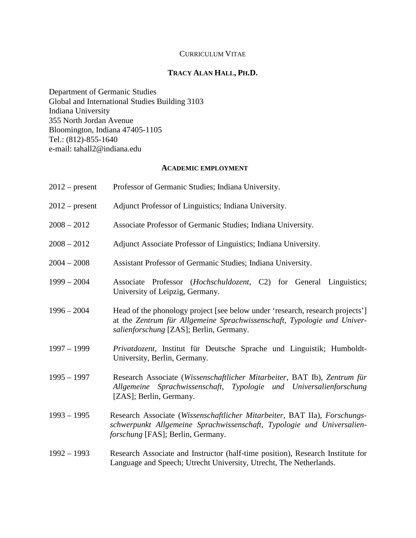# CURRICULUM VITAE

# **TRACY ALAN HALL, PH.D.**

Department of Germanic Studies Global and International Studies Building 3103 Indiana University 355 North Jordan Avenue Bloomington, Indiana 47405-1105 Tel.: (812)-855-1640 e-mail: tahall2@indiana.edu

## **ACADEMIC EMPLOYMENT**

| $2012$ – present | Professor of Germanic Studies; Indiana University.                                                                                                                                                  |
|------------------|-----------------------------------------------------------------------------------------------------------------------------------------------------------------------------------------------------|
| $2012$ – present | Adjunct Professor of Linguistics; Indiana University.                                                                                                                                               |
| $2008 - 2012$    | Associate Professor of Germanic Studies; Indiana University.                                                                                                                                        |
| $2008 - 2012$    | Adjunct Associate Professor of Linguistics; Indiana University.                                                                                                                                     |
| $2004 - 2008$    | Assistant Professor of Germanic Studies; Indiana University.                                                                                                                                        |
| $1999 - 2004$    | Associate Professor (Hochschuldozent, C2) for General Linguistics;<br>University of Leipzig, Germany.                                                                                               |
| $1996 - 2004$    | Head of the phonology project [see below under 'research, research projects']<br>at the Zentrum für Allgemeine Sprachwissenschaft, Typologie und Univer-<br>salienforschung [ZAS]; Berlin, Germany. |
| $1997 - 1999$    | Privatdozent, Institut für Deutsche Sprache und Linguistik; Humboldt-<br>University, Berlin, Germany.                                                                                               |
| $1995 - 1997$    | Research Associate (Wissenschaftlicher Mitarbeiter, BAT Ib), Zentrum für<br>Allgemeine Sprachwissenschaft, Typologie und Universalienforschung<br>[ZAS]; Berlin, Germany.                           |
| $1993 - 1995$    | Research Associate (Wissenschaftlicher Mitarbeiter, BAT IIa), Forschungs-<br>schwerpunkt Allgemeine Sprachwissenschaft, Typologie und Universalien-<br>forschung [FAS]; Berlin, Germany.            |
| $1992 - 1993$    | Research Associate and Instructor (half-time position), Research Institute for<br>Language and Speech; Utrecht University, Utrecht, The Netherlands.                                                |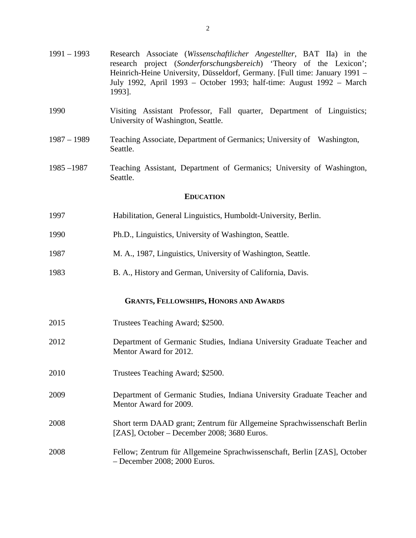| $1991 - 1993$                                 | Research Associate (Wissenschaftlicher Angestellter, BAT IIa) in the<br>research project (Sonderforschungsbereich) 'Theory of the Lexicon';<br>Heinrich-Heine University, Düsseldorf, Germany. [Full time: January 1991 -<br>July 1992, April 1993 - October 1993; half-time: August 1992 - March<br>1993]. |  |
|-----------------------------------------------|-------------------------------------------------------------------------------------------------------------------------------------------------------------------------------------------------------------------------------------------------------------------------------------------------------------|--|
| 1990                                          | Visiting Assistant Professor, Fall quarter, Department of Linguistics;<br>University of Washington, Seattle.                                                                                                                                                                                                |  |
| $1987 - 1989$                                 | Teaching Associate, Department of Germanics; University of Washington,<br>Seattle.                                                                                                                                                                                                                          |  |
| $1985 - 1987$                                 | Teaching Assistant, Department of Germanics; University of Washington,<br>Seattle.                                                                                                                                                                                                                          |  |
| <b>EDUCATION</b>                              |                                                                                                                                                                                                                                                                                                             |  |
| 1997                                          | Habilitation, General Linguistics, Humboldt-University, Berlin.                                                                                                                                                                                                                                             |  |
| 1990                                          | Ph.D., Linguistics, University of Washington, Seattle.                                                                                                                                                                                                                                                      |  |
| 1987                                          | M. A., 1987, Linguistics, University of Washington, Seattle.                                                                                                                                                                                                                                                |  |
| 1983                                          | B. A., History and German, University of California, Davis.                                                                                                                                                                                                                                                 |  |
| <b>GRANTS, FELLOWSHIPS, HONORS AND AWARDS</b> |                                                                                                                                                                                                                                                                                                             |  |
| 2015                                          | Trustees Teaching Award; \$2500.                                                                                                                                                                                                                                                                            |  |
| 2012                                          | Department of Germanic Studies, Indiana University Graduate Teacher and<br>Mentor Award for 2012.                                                                                                                                                                                                           |  |
| 2010                                          | Trustees Teaching Award; \$2500.                                                                                                                                                                                                                                                                            |  |
| 2009                                          | Department of Germanic Studies, Indiana University Graduate Teacher and<br>Mentor Award for 2009.                                                                                                                                                                                                           |  |
| 2008                                          | Short term DAAD grant; Zentrum für Allgemeine Sprachwissenschaft Berlin<br>[ZAS], October – December 2008; 3680 Euros.                                                                                                                                                                                      |  |
| 2008                                          | Fellow; Zentrum für Allgemeine Sprachwissenschaft, Berlin [ZAS], October<br>$-$ December 2008; 2000 Euros.                                                                                                                                                                                                  |  |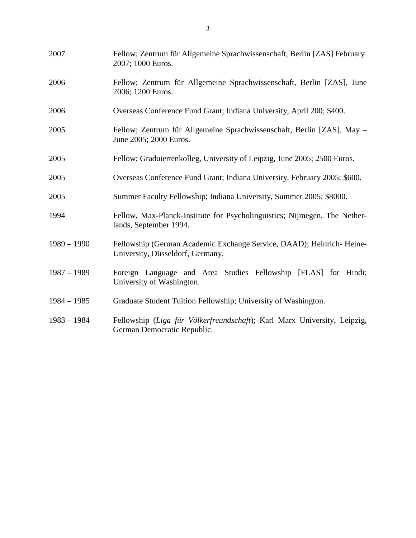| 2007          | Fellow; Zentrum für Allgemeine Sprachwissenschaft, Berlin [ZAS] February<br>2007; 1000 Euros.            |
|---------------|----------------------------------------------------------------------------------------------------------|
| 2006          | Fellow; Zentrum für Allgemeine Sprachwissenschaft, Berlin [ZAS], June<br>2006; 1200 Euros.               |
| 2006          | Overseas Conference Fund Grant; Indiana University, April 200; \$400.                                    |
| 2005          | Fellow; Zentrum für Allgemeine Sprachwissenschaft, Berlin [ZAS], May -<br>June 2005; 2000 Euros.         |
| 2005          | Fellow; Graduiertenkolleg, University of Leipzig, June 2005; 2500 Euros.                                 |
| 2005          | Overseas Conference Fund Grant; Indiana University, February 2005; \$600.                                |
| 2005          | Summer Faculty Fellowship; Indiana University, Summer 2005; \$8000.                                      |
| 1994          | Fellow, Max-Planck-Institute for Psycholinguistics; Nijmegen, The Nether-<br>lands, September 1994.      |
| $1989 - 1990$ | Fellowship (German Academic Exchange Service, DAAD); Heinrich-Heine-<br>University, Düsseldorf, Germany. |
| $1987 - 1989$ | Foreign Language and Area Studies Fellowship [FLAS] for Hindi;<br>University of Washington.              |
| $1984 - 1985$ | Graduate Student Tuition Fellowship; University of Washington.                                           |
| $1983 - 1984$ | Fellowship (Liga für Völkerfreundschaft); Karl Marx University, Leipzig,<br>German Democratic Republic.  |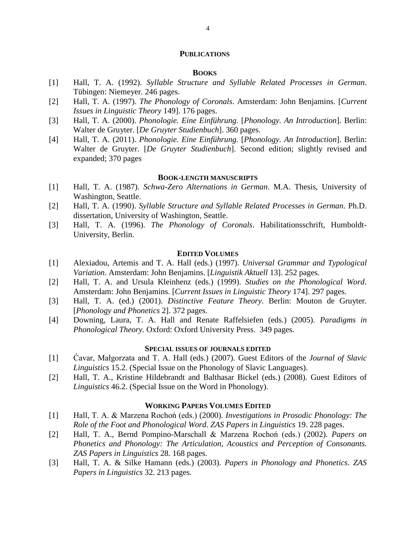#### **PUBLICATIONS**

### **BOOKS**

- [1] Hall, T. A. (1992). *Syllable Structure and Syllable Related Processes in German*. Tübingen: Niemeyer. 246 pages.
- [2] Hall, T. A. (1997). *The Phonology of Coronals*. Amsterdam: John Benjamins. [*Current Issues in Linguistic Theory* 149]. 176 pages.
- [3] Hall, T. A. (2000). *Phonologie. Eine Einführung.* [*Phonology. An Introduction*]. Berlin: Walter de Gruyter. [*De Gruyter Studienbuch*]. 360 pages.
- [4] Hall, T. A. (2011). *Phonologie. Eine Einführung.* [*Phonology. An Introduction*]. Berlin: Walter de Gruyter. [*De Gruyter Studienbuch*]. Second edition; slightly revised and expanded; 370 pages

#### **BOOK-LENGTH MANUSCRIPTS**

- [1] Hall, T. A. (1987). *Schwa-Zero Alternations in German*. M.A. Thesis, University of Washington, Seattle.
- [2] Hall, T. A. (1990). *Syllable Structure and Syllable Related Processes in German*. Ph.D. dissertation, University of Washington, Seattle.
- [3] Hall, T. A. (1996). *The Phonology of Coronals*. Habilitationsschrift, Humboldt-University, Berlin.

#### **EDITED VOLUMES**

- [1] Alexiadou, Artemis and T. A. Hall (eds.) (1997). *Universal Grammar and Typological Variation*. Amsterdam: John Benjamins. [*Linguistik Aktuell* 13]. 252 pages.
- [2] Hall, T. A. and Ursula Kleinhenz (eds.) (1999). *Studies on the Phonological Word*. Amsterdam: John Benjamins. [*Current Issues in Linguistic Theory* 174]. 297 pages.
- [3] Hall, T. A. (ed.) (2001). *Distinctive Feature Theory*. Berlin: Mouton de Gruyter. [*Phonology and Phonetics* 2]. 372 pages.
- [4] Downing, Laura, T. A. Hall and Renate Raffelsiefen (eds.) (2005). *Paradigms in Phonological Theory.* Oxford: Oxford University Press. 349 pages.

### **SPECIAL ISSUES OF JOURNALS EDITED**

- [1] Ćavar, Małgorzata and T. A. Hall (eds.) (2007). Guest Editors of the *Journal of Slavic Linguistics* 15.2. (Special Issue on the Phonology of Slavic Languages).
- [2] Hall, T. A., Kristine Hildebrandt and Balthasar Bickel (eds.) (2008). Guest Editors of *Linguistics* 46.2. (Special Issue on the Word in Phonology).

### **WORKING PAPERS VOLUMES EDITED**

- [1] Hall, T. A. & Marzena Rochoń (eds.) (2000). *Investigations in Prosodic Phonology: The Role of the Foot and Phonological Word*. *ZAS Papers in Linguistics* 19. 228 pages.
- [2] Hall, T. A., Bernd Pompino-Marschall & Marzena Rochoń (eds.) (2002). *Papers on Phonetics and Phonology: The Articulation, Acoustics and Perception of Consonants. ZAS Papers in Linguistics* 28*.* 168 pages.
- [3] Hall, T. A. & Silke Hamann (eds.) (2003). *Papers in Phonology and Phonetics*. *ZAS Papers in Linguistics* 32. 213 pages.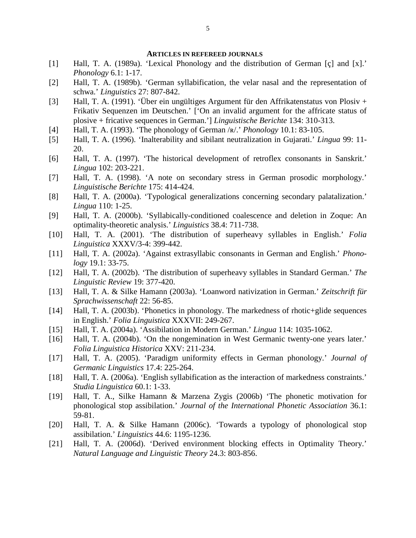#### **ARTICLES IN REFEREED JOURNALS**

- [1] Hall, T. A. (1989a). 'Lexical Phonology and the distribution of German [ç] and [x].' *Phonology* 6.1: 1-17.
- [2] Hall, T. A. (1989b). 'German syllabification, the velar nasal and the representation of schwa.' *Linguistics* 27: 807-842.
- [3] Hall, T. A. (1991). 'Über ein ungültiges Argument für den Affrikatenstatus von Plosiv + Frikativ Sequenzen im Deutschen.' ['On an invalid argument for the affricate status of plosive + fricative sequences in German.'] *Linguistische Berichte* 134: 310-313.
- [4] Hall, T. A. (1993). 'The phonology of German /ʀ/.' *Phonology* 10.1: 83-105.
- [5] Hall, T. A. (1996). 'Inalterability and sibilant neutralization in Gujarati.' *Lingua* 99: 11- 20.
- [6] Hall, T. A. (1997). 'The historical development of retroflex consonants in Sanskrit.' *Lingua* 102: 203-221.
- [7] Hall, T. A. (1998). 'A note on secondary stress in German prosodic morphology.' *Linguistische Berichte* 175: 414-424.
- [8] Hall, T. A. (2000a). 'Typological generalizations concerning secondary palatalization.' *Lingua* 110: 1-25.
- [9] Hall, T. A. (2000b). 'Syllabically-conditioned coalescence and deletion in Zoque: An optimality-theoretic analysis.' *Linguistics* 38.4: 711-738.
- [10] Hall, T. A. (2001). 'The distribution of superheavy syllables in English.' *Folia Linguistica* XXXV/3-4: 399-442.
- [11] Hall, T. A. (2002a). 'Against extrasyllabic consonants in German and English.' *Phonology* 19.1: 33-75.
- [12] Hall, T. A. (2002b). 'The distribution of superheavy syllables in Standard German.' *The Linguistic Review* 19: 377-420.
- [13] Hall, T. A. & Silke Hamann (2003a). 'Loanword nativization in German.' *Zeitschrift für Sprachwissenschaft* 22: 56-85.
- [14] Hall, T. A. (2003b). 'Phonetics in phonology. The markedness of rhotic+glide sequences in English.' *Folia Linguistica* XXXVII: 249-267.
- [15] Hall, T. A. (2004a). 'Assibilation in Modern German.' *Lingua* 114: 1035-1062.
- [16] Hall, T. A. (2004b). 'On the nongemination in West Germanic twenty-one years later.' *Folia Linguistica Historica* XXV: 211-234.
- [17] Hall, T. A. (2005). 'Paradigm uniformity effects in German phonology.' *Journal of Germanic Linguistics* 17.4: 225-264.
- [18] Hall, T. A. (2006a). 'English syllabification as the interaction of markedness constraints.' *Studia Linguistica* 60.1: 1-33.
- [19] Hall, T. A., Silke Hamann & Marzena Zygis (2006b) 'The phonetic motivation for phonological stop assibilation.' *Journal of the International Phonetic Association* 36.1: 59-81.
- [20] Hall, T. A. & Silke Hamann (2006c). 'Towards a typology of phonological stop assibilation.' *Linguistics* 44.6: 1195-1236.
- [21] Hall, T. A. (2006d). 'Derived environment blocking effects in Optimality Theory.' *Natural Language and Linguistic Theory* 24.3: 803-856.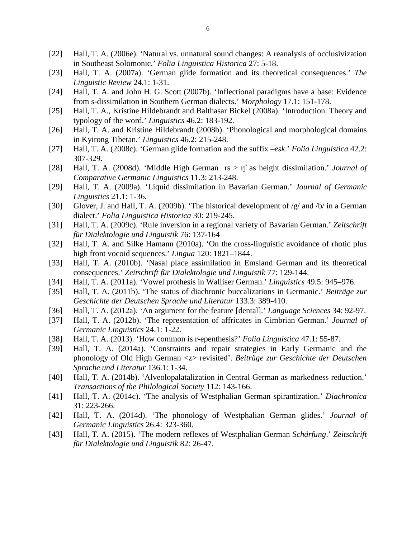- [22] Hall, T. A. (2006e). 'Natural vs. unnatural sound changes: A reanalysis of occlusivization in Southeast Solomonic.' *Folia Linguistica Historica* 27: 5-18.
- [23] Hall, T. A. (2007a). 'German glide formation and its theoretical consequences.' *The Linguistic Review* 24.1: 1-31.
- [24] Hall, T. A. and John H. G. Scott (2007b). 'Inflectional paradigms have a base: Evidence from s-dissimilation in Southern German dialects.' *Morphology* 17.1: 151-178.
- [25] Hall, T. A., Kristine Hildebrandt and Balthasar Bickel (2008a). 'Introduction. Theory and typology of the word.' *Linguistics* 46.2: 183-192.
- [26] Hall, T. A. and Kristine Hildebrandt (2008b). 'Phonological and morphological domains in Kyirong Tibetan.' *Linguistics* 46.2: 215-248.
- [27] Hall, T. A. (2008c). 'German glide formation and the suffix –*esk*.' *Folia Linguistica* 42.2: 307-329.
- [28] Hall, T. A. (2008d). 'Middle High German rs > rʃ as height dissimilation.' *Journal of Comparative Germanic Linguistics* 11.3: 213-248.
- [29] Hall, T. A. (2009a). 'Liquid dissimilation in Bavarian German.' *Journal of Germanic Linguistics* 21.1: 1-36.
- [30] Glover, J. and Hall, T. A. (2009b). 'The historical development of /g/ and /b/ in a German dialect.' *Folia Linguistica Historica* 30: 219-245.
- [31] Hall, T. A. (2009c). 'Rule inversion in a regional variety of Bavarian German.' *Zeitschrift für Dialektologie und Linguistik* 76: 137-164
- [32] Hall, T. A. and Silke Hamann (2010a). 'On the cross-linguistic avoidance of rhotic plus high front vocoid sequences.' *Lingua* 120: 1821–1844.
- [33] Hall, T. A. (2010b). 'Nasal place assimilation in Emsland German and its theoretical consequences.' *Zeitschrift für Dialektologie und Linguistik* 77: 129-144.
- [34] Hall, T. A. (2011a). 'Vowel prothesis in Walliser German.' *Linguistics* 49.5: 945–976.
- [35] Hall, T. A. (2011b). 'The status of diachronic buccalizations in Germanic.' *Beiträge zur Geschichte der Deutschen Sprache und Literatur* 133.3: 389-410.
- [36] Hall, T. A. (2012a). 'An argument for the feature [dental].' *Language Sciences* 34: 92-97.
- [37] Hall, T. A. (2012b). 'The representation of affricates in Cimbrian German.' *Journal of Germanic Linguistics* 24.1: 1-22.
- [38] Hall, T. A. (2013). 'How common is r-epenthesis?' *Folia Linguistica* 47.1: 55-87.
- [39] Hall, T. A. (2014a). 'Constraints and repair strategies in Early Germanic and the phonology of Old High German <z> revisited'. *Beiträge zur Geschichte der Deutschen Sprache und Literatur* 136.1: 1-34.
- [40] Hall, T. A. (2014b). 'Alveolopalatalization in Central German as markedness reduction.' *Transactions of the Philological Society* 112: 143-166.
- [41] Hall, T. A. (2014c). 'The analysis of Westphalian German spirantization.' *Diachronica* 31: 223-266.
- [42] Hall, T. A. (2014d). 'The phonology of Westphalian German glides.' *Journal of Germanic Linguistics* 26.4: 323-360.
- [43] Hall, T. A. (2015). 'The modern reflexes of Westphalian German *Schärfung*.' *Zeitschrift für Dialektologie und Linguistik* 82: 26-47.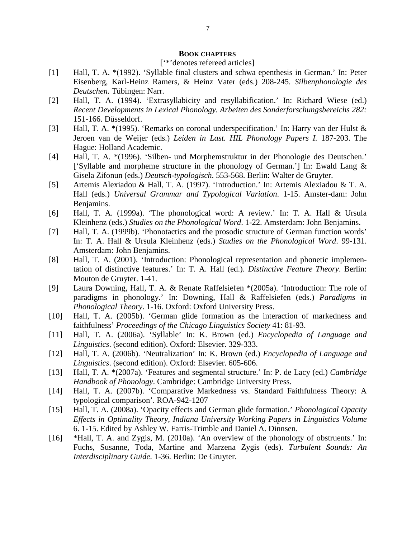#### **BOOK CHAPTERS**

#### ['\*'denotes refereed articles]

- [1] Hall, T. A. \*(1992). 'Syllable final clusters and schwa epenthesis in German.' In: Peter Eisenberg, Karl-Heinz Ramers, & Heinz Vater (eds.) 208-245. *Silbenphonologie des Deutschen*. Tübingen: Narr.
- [2] Hall, T. A. (1994). 'Extrasyllabicity and resyllabification.' In: Richard Wiese (ed.) *Recent Developments in Lexical Phonology. Arbeiten des Sonderforschungsbereichs 282:* 151-166. Düsseldorf.
- [3] Hall, T. A. \*(1995). 'Remarks on coronal underspecification.' In: Harry van der Hulst & Jeroen van de Weijer (eds.) *Leiden in Last. HIL Phonology Papers I.* 187-203. The Hague: Holland Academic.
- [4] Hall, T. A. \*(1996). 'Silben- und Morphemstruktur in der Phonologie des Deutschen.' ['Syllable and morpheme structure in the phonology of German.'] In: Ewald Lang & Gisela Zifonun (eds.) *Deutsch-typologisch*. 553-568. Berlin: Walter de Gruyter.
- [5] Artemis Alexiadou & Hall, T. A. (1997). 'Introduction.' In: Artemis Alexiadou & T. A. Hall (eds.) *Universal Grammar and Typological Variation*. 1-15. Amster-dam: John Benjamins.
- [6] Hall, T. A. (1999a). 'The phonological word: A review.' In: T. A. Hall & Ursula Kleinhenz (eds.) *Studies on the Phonological Word*. 1-22. Amsterdam: John Benjamins.
- [7] Hall, T. A. (1999b). 'Phonotactics and the prosodic structure of German function words' In: T. A. Hall & Ursula Kleinhenz (eds.) *Studies on the Phonological Word*. 99-131. Amsterdam: John Benjamins.
- [8] Hall, T. A. (2001). 'Introduction: Phonological representation and phonetic implementation of distinctive features.' In: T. A. Hall (ed.). *Distinctive Feature Theory*. Berlin: Mouton de Gruyter. 1-41.
- [9] Laura Downing, Hall, T. A. & Renate Raffelsiefen \*(2005a). 'Introduction: The role of paradigms in phonology.' In: Downing, Hall & Raffelsiefen (eds.) *Paradigms in Phonological Theory*. 1-16. Oxford: Oxford University Press.
- [10] Hall, T. A. (2005b). 'German glide formation as the interaction of markedness and faithfulness' *Proceedings of the Chicago Linguistics Society* 41: 81-93.
- [11] Hall, T. A. (2006a). 'Syllable' In: K. Brown (ed.) *Encyclopedia of Language and Linguistics*. (second edition). Oxford: Elsevier. 329-333.
- [12] Hall, T. A. (2006b). 'Neutralization' In: K. Brown (ed.) *Encyclopedia of Language and Linguistics*. (second edition). Oxford: Elsevier. 605-606.
- [13] Hall, T. A. \*(2007a). 'Features and segmental structure.' In: P. de Lacy (ed.) *Cambridge Handbook of Phonology*. Cambridge: Cambridge University Press.
- [14] Hall, T. A. (2007b). 'Comparative Markedness vs. Standard Faithfulness Theory: A typological comparison'. ROA-942-1207
- [15] Hall, T. A. (2008a). 'Opacity effects and German glide formation.' *Phonological Opacity Effects in Optimality Theory, Indiana University Working Papers in Linguistics Volume* 6. 1-15. Edited by Ashley W. Farris-Trimble and Daniel A. Dinnsen.
- [16] \*Hall, T. A. and Zygis, M. (2010a). 'An overview of the phonology of obstruents.' In: Fuchs, Susanne, Toda, Martine and Marzena Zygis (eds). *Turbulent Sounds: An Interdisciplinary Guide*. 1-36. Berlin: De Gruyter.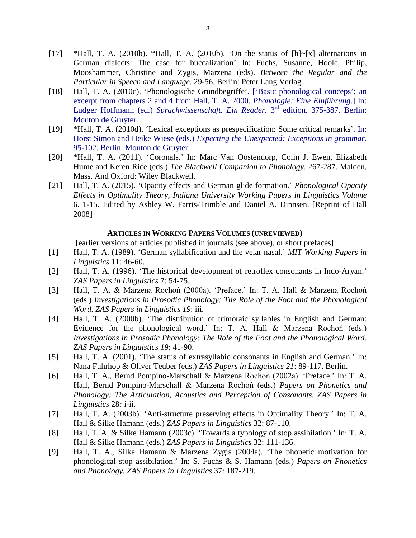- [17] \*Hall, T. A. (2010b). \*Hall, T. A. (2010b). 'On the status of  $[h]~[x]$  alternations in German dialects: The case for buccalization' In: Fuchs, Susanne, Hoole, Philip, Mooshammer, Christine and Zygis, Marzena (eds). *Between the Regular and the Particular in Speech and Language*. 29-56. Berlin: Peter Lang Verlag.
- [18] Hall, T. A. (2010c). 'Phonologische Grundbegriffe'. ['Basic phonological conceps'; an excerpt from chapters 2 and 4 from Hall, T. A. 2000. *Phonologie: Eine Einführung*.] In: Ludger Hoffmann (ed.) *Sprachwissenschaft. Ein Reader.* 3rd edition. 375-387. Berlin: Mouton de Gruyter.
- [19] \*Hall, T. A. (2010d). 'Lexical exceptions as prespecification: Some critical remarks'. In: Horst Simon and Heike Wiese (eds.) *Expecting the Unexpected: Exceptions in grammar.* 95-102. Berlin: Mouton de Gruyter.
- [20] \*Hall, T. A. (2011). 'Coronals.' In: Marc Van Oostendorp, Colin J. Ewen, Elizabeth Hume and Keren Rice (eds.) *The Blackwell Companion to Phonology*. 267-287. Malden, Mass. And Oxford: Wiley Blackwell.
- [21] Hall, T. A. (2015). 'Opacity effects and German glide formation.' *Phonological Opacity Effects in Optimality Theory, Indiana University Working Papers in Linguistics Volume* 6. 1-15. Edited by Ashley W. Farris-Trimble and Daniel A. Dinnsen. [Reprint of Hall 2008]

### **ARTICLES IN WORKING PAPERS VOLUMES (UNREVIEWED)**

[earlier versions of articles published in journals (see above), or short prefaces]

- [1] Hall, T. A. (1989). 'German syllabification and the velar nasal.' *MIT Working Papers in Linguistics* 11: 46-60.
- [2] Hall, T. A. (1996). 'The historical development of retroflex consonants in Indo-Aryan.' *ZAS Papers in Linguistics* 7: 54-75.
- [3] Hall, T. A. & Marzena Rochoń (2000a). 'Preface.' In: T. A. Hall & Marzena Rochoń (eds.) *Investigations in Prosodic Phonology: The Role of the Foot and the Phonological Word. ZAS Papers in Linguistics 19*: iii.
- [4] Hall, T. A. (2000b). 'The distribution of trimoraic syllables in English and German: Evidence for the phonological word.' In: T. A. Hall & Marzena Rochoń (eds.) *Investigations in Prosodic Phonology: The Role of the Foot and the Phonological Word. ZAS Papers in Linguistics 19*: 41-90.
- [5] Hall, T. A. (2001). 'The status of extrasyllabic consonants in English and German.' In: Nana Fuhrhop & Oliver Teuber (eds.) *ZAS Papers in Linguistics 21*: 89-117. Berlin.
- [6] Hall, T. A., Bernd Pompino-Marschall & Marzena Rochoń (2002a). 'Preface.' In: T. A. Hall, Bernd Pompino-Marschall & Marzena Rochoń (eds.) *Papers on Phonetics and Phonology: The Articulation, Acoustics and Perception of Consonants. ZAS Papers in Linguistics* 28*:* i-ii.
- [7] Hall, T. A. (2003b). 'Anti-structure preserving effects in Optimality Theory.' In: T. A. Hall & Silke Hamann (eds.) *ZAS Papers in Linguistics* 32: 87-110.
- [8] Hall, T. A. & Silke Hamann (2003c). 'Towards a typology of stop assibilation.' In: T. A. Hall & Silke Hamann (eds.) *ZAS Papers in Linguistics* 32: 111-136.
- [9] Hall, T. A., Silke Hamann & Marzena Zygis (2004a). 'The phonetic motivation for phonological stop assibilation.' In: S. Fuchs & S. Hamann (eds.) *Papers on Phonetics and Phonology. ZAS Papers in Linguistics* 37: 187-219.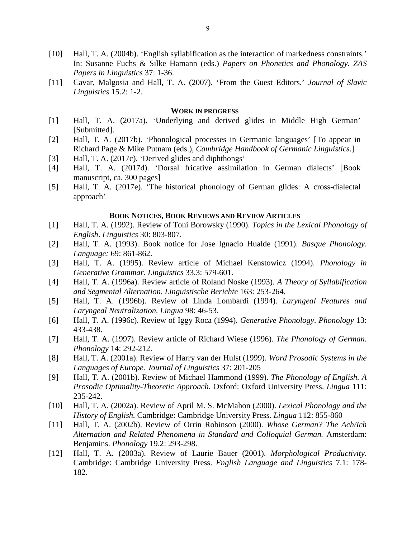- [10] Hall, T. A. (2004b). 'English syllabification as the interaction of markedness constraints.' In: Susanne Fuchs & Silke Hamann (eds.) *Papers on Phonetics and Phonology. ZAS Papers in Linguistics* 37: 1-36.
- [11] Cavar, Malgosia and Hall, T. A. (2007). 'From the Guest Editors.' *Journal of Slavic Linguistics* 15.2: 1-2.

#### **WORK IN PROGRESS**

- [1] Hall, T. A. (2017a). 'Underlying and derived glides in Middle High German' [Submitted].
- [2] Hall, T. A. (2017b). 'Phonological processes in Germanic languages' [To appear in Richard Page & Mike Putnam (eds.), *Cambridge Handbook of Germanic Linguistics*.]
- [3] Hall, T. A. (2017c). 'Derived glides and diphthongs'
- [4] Hall, T. A. (2017d). 'Dorsal fricative assimilation in German dialects' [Book manuscript, ca. 300 pages]
- [5] Hall, T. A. (2017e). 'The historical phonology of German glides: A cross-dialectal approach'

#### **BOOK NOTICES, BOOK REVIEWS AND REVIEW ARTICLES**

- [1] Hall, T. A. (1992). Review of Toni Borowsky (1990). *Topics in the Lexical Phonology of English*. *Linguistics* 30: 803-807.
- [2] Hall, T. A. (1993). Book notice for Jose Ignacio Hualde (1991). *Basque Phonology*. *Language:* 69: 861-862.
- [3] Hall, T. A. (1995). Review article of Michael Kenstowicz (1994). *Phonology in Generative Grammar*. *Linguistics* 33.3: 579-601.
- [4] Hall, T. A. (1996a). Review article of Roland Noske (1993). *A Theory of Syllabification and Segmental Alternation*. *Linguistische Berichte* 163: 253-264.
- [5] Hall, T. A. (1996b). Review of Linda Lombardi (1994). *Laryngeal Features and Laryngeal Neutralization*. *Lingua* 98: 46-53.
- [6] Hall, T. A. (1996c). Review of Iggy Roca (1994). *Generative Phonology*. *Phonology* 13: 433-438.
- [7] Hall, T. A. (1997). Review article of Richard Wiese (1996). *The Phonology of German. Phonology* 14: 292-212.
- [8] Hall, T. A. (2001a). Review of Harry van der Hulst (1999). *Word Prosodic Systems in the Languages of Europe. Journal of Linguistics* 37: 201-205
- [9] Hall, T. A. (2001b). Review of Michael Hammond (1999). *The Phonology of English. A Prosodic Optimality-Theoretic Approach.* Oxford: Oxford University Press. *Lingua* 111: 235-242.
- [10] Hall, T. A. (2002a). Review of April M. S. McMahon (2000). *Lexical Phonology and the History of English.* Cambridge: Cambridge University Press. *Lingua* 112: 855-860
- [11] Hall, T. A. (2002b). Review of Orrin Robinson (2000). *Whose German? The Ach/Ich Alternation and Related Phenomena in Standard and Colloquial German.* Amsterdam: Benjamins. *Phonology* 19.2: 293-298.
- [12] Hall, T. A. (2003a). Review of Laurie Bauer (2001). *Morphological Productivity*. Cambridge: Cambridge University Press. *English Language and Linguistics* 7.1: 178- 182.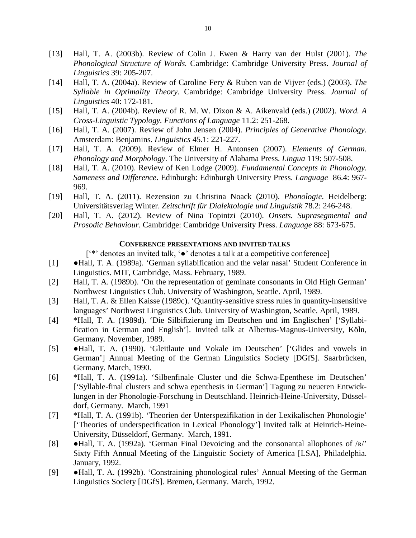- [13] Hall, T. A. (2003b). Review of Colin J. Ewen & Harry van der Hulst (2001). *The Phonological Structure of Words.* Cambridge: Cambridge University Press. *Journal of Linguistics* 39: 205-207.
- [14] Hall, T. A. (2004a). Review of Caroline Fery & Ruben van de Vijver (eds.) (2003). *The Syllable in Optimality Theory*. Cambridge: Cambridge University Press. *Journal of Linguistics* 40: 172-181.
- [15] Hall, T. A. (2004b). Review of R. M. W. Dixon & A. Aikenvald (eds.) (2002). *Word. A Cross-Linguistic Typology. Functions of Language* 11.2: 251-268.
- [16] Hall, T. A. (2007). Review of John Jensen (2004). *Principles of Generative Phonology*. Amsterdam: Benjamins. *Linguistics* 45.1: 221-227.
- [17] Hall, T. A. (2009). Review of Elmer H. Antonsen (2007). *Elements of German. Phonology and Morphology*. The University of Alabama Press. *Lingua* 119: 507-508.
- [18] Hall, T. A. (2010). Review of Ken Lodge (2009). *Fundamental Concepts in Phonology. Sameness and Difference*. Edinburgh: Edinburgh University Press. *Language* 86.4: 967- 969.
- [19] Hall, T. A. (2011). Rezension zu Christina Noack (2010). *Phonologie*. Heidelberg: Universitätsverlag Winter. *Zeitschrift für Dialektologie und Linguistik* 78.2: 246-248.
- [20] Hall, T. A. (2012). Review of Nina Topintzi (2010). *Onsets. Suprasegmental and Prosodic Behaviour*. Cambridge: Cambridge University Press. *Language* 88: 673-675.

### **CONFERENCE PRESENTATIONS AND INVITED TALKS**

['\*' denotes an invited talk, '●' denotes a talk at a competitive conference]

- [1] ●Hall, T. A. (1989a). 'German syllabification and the velar nasal' Student Conference in Linguistics. MIT, Cambridge, Mass. February, 1989.
- [2] Hall, T. A. (1989b). 'On the representation of geminate consonants in Old High German' Northwest Linguistics Club. University of Washington, Seattle. April, 1989.
- [3] Hall, T. A. & Ellen Kaisse (1989c). 'Quantity-sensitive stress rules in quantity-insensitive languages' Northwest Linguistics Club. University of Washington, Seattle. April, 1989.
- [4] \*Hall, T. A. (1989d). 'Die Silbifizierung im Deutschen und im Englischen' ['Syllabification in German and English']. Invited talk at Albertus-Magnus-University, Köln, Germany. November, 1989.
- [5] ●Hall, T. A. (1990). 'Gleitlaute und Vokale im Deutschen' ['Glides and vowels in German'] Annual Meeting of the German Linguistics Society [DGfS]. Saarbrücken, Germany. March, 1990.
- [6] \*Hall, T. A. (1991a). 'Silbenfinale Cluster und die Schwa-Epenthese im Deutschen' ['Syllable-final clusters and schwa epenthesis in German'] Tagung zu neueren Entwicklungen in der Phonologie-Forschung in Deutschland. Heinrich-Heine-University, Düsseldorf, Germany. March, 1991
- [7] \*Hall, T. A. (1991b). 'Theorien der Unterspezifikation in der Lexikalischen Phonologie' ['Theories of underspecification in Lexical Phonology'] Invited talk at Heinrich-Heine-University, Düsseldorf, Germany. March, 1991.
- [8]  $\bullet$  Hall, T. A. (1992a). 'German Final Devoicing and the consonantal allophones of  $\forall$ R/' Sixty Fifth Annual Meeting of the Linguistic Society of America [LSA], Philadelphia. January, 1992.
- [9] ●Hall, T. A. (1992b). 'Constraining phonological rules' Annual Meeting of the German Linguistics Society [DGfS]. Bremen, Germany. March, 1992.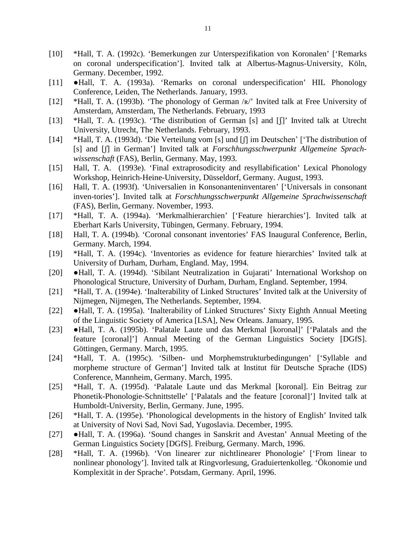- [10] \*Hall, T. A. (1992c). 'Bemerkungen zur Unterspezifikation von Koronalen' ['Remarks on coronal underspecification']. Invited talk at Albertus-Magnus-University, Köln, Germany. December, 1992.
- [11] ●Hall, T. A. (1993a). 'Remarks on coronal underspecification' HIL Phonology Conference, Leiden, The Netherlands. January, 1993.
- [12] \*Hall, T. A. (1993b). 'The phonology of German /ʀ/' Invited talk at Free University of Amsterdam, Amsterdam, The Netherlands. February, 1993
- [13] \*Hall, T. A. (1993c). 'The distribution of German [s] and [f]' Invited talk at Utrecht University, Utrecht, The Netherlands. February, 1993.
- [14] \*Hall, T. A. (1993d). 'Die Verteilung vom [s] und [ʃ] im Deutschen' ['The distribution of [s] and [ʃ] in German'] Invited talk at *Forschhungsschwerpunkt Allgemeine Sprachwissenschaft* (FAS), Berlin, Germany. May, 1993.
- [15] Hall, T. A. (1993e). 'Final extraprosodicity and resyllabification' Lexical Phonology Workshop, Heinrich-Heine-University, Düsseldorf, Germany. August, 1993.
- [16] Hall, T. A. (1993f). 'Universalien in Konsonanteninventaren' ['Universals in consonant inven-tories']. Invited talk at *Forschhungsschwerpunkt Allgemeine Sprachwissenschaft* (FAS), Berlin, Germany. November, 1993.
- [17] \*Hall, T. A. (1994a). 'Merkmalhierarchien' ['Feature hierarchies']. Invited talk at Eberhart Karls University, Tübingen, Germany. February, 1994.
- [18] Hall, T. A. (1994b). 'Coronal consonant inventories' FAS Inaugural Conference, Berlin, Germany. March, 1994.
- [19] \*Hall, T. A. (1994c). 'Inventories as evidence for feature hierarchies' Invited talk at University of Durham, Durham, England. May, 1994.
- [20] ●Hall, T. A. (1994d). 'Sibilant Neutralization in Gujarati' International Workshop on Phonological Structure, University of Durham, Durham, England. September, 1994.
- [21] \*Hall, T. A. (1994e). 'Inalterability of Linked Structures' Invited talk at the University of Nijmegen, Nijmegen, The Netherlands. September, 1994.
- [22] ●Hall, T. A. (1995a). 'Inalterability of Linked Structures' Sixty Eighth Annual Meeting of the Linguistic Society of America [LSA], New Orleans. January, 1995.
- [23] ●Hall, T. A. (1995b). 'Palatale Laute und das Merkmal [koronal]' ['Palatals and the feature [coronal]'] Annual Meeting of the German Linguistics Society [DGfS]. Göttingen, Germany. March, 1995.
- [24] \*Hall, T. A. (1995c). 'Silben- und Morphemstrukturbedingungen' ['Syllable and morpheme structure of German'] Invited talk at Institut für Deutsche Sprache (IDS) Conference, Mannheim, Germany. March, 1995.
- [25] \*Hall, T. A. (1995d). 'Palatale Laute und das Merkmal [koronal]. Ein Beitrag zur Phonetik-Phonologie-Schnittstelle' ['Palatals and the feature [coronal]'] Invited talk at Humboldt-University, Berlin, Germany. June, 1995.
- [26] \*Hall, T. A. (1995e). 'Phonological developments in the history of English' Invited talk at University of Novi Sad, Novi Sad, Yugoslavia. December, 1995.
- [27] ●Hall, T. A. (1996a). 'Sound changes in Sanskrit and Avestan' Annual Meeting of the German Linguistics Society [DGfS]. Freiburg, Germany. March, 1996.
- [28] \*Hall, T. A. (1996b). 'Von linearer zur nichtlinearer Phonologie' ['From linear to nonlinear phonology']. Invited talk at Ringvorlesung, Graduiertenkolleg. 'Ökonomie und Komplexität in der Sprache'. Potsdam, Germany. April, 1996.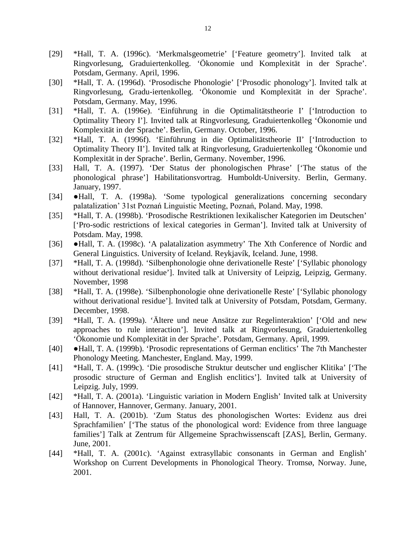- [29] \*Hall, T. A. (1996c). 'Merkmalsgeometrie' ['Feature geometry']. Invited talk at Ringvorlesung, Graduiertenkolleg. 'Ökonomie und Komplexität in der Sprache'. Potsdam, Germany. April, 1996.
- [30] \*Hall, T. A. (1996d). 'Prosodische Phonologie' ['Prosodic phonology']. Invited talk at Ringvorlesung, Gradu-iertenkolleg. 'Ökonomie und Komplexität in der Sprache'. Potsdam, Germany. May, 1996.
- [31] \*Hall, T. A. (1996e). 'Einführung in die Optimalitätstheorie I' ['Introduction to Optimality Theory I']. Invited talk at Ringvorlesung, Graduiertenkolleg 'Ökonomie und Komplexität in der Sprache'. Berlin, Germany. October, 1996.
- [32] \*Hall, T. A. (1996f). 'Einführung in die Optimalitätstheorie II' ['Introduction to Optimality Theory II']. Invited talk at Ringvorlesung, Graduiertenkolleg 'Ökonomie und Komplexität in der Sprache'. Berlin, Germany. November, 1996.
- [33] Hall, T. A. (1997). 'Der Status der phonologischen Phrase' ['The status of the phonological phrase'] Habilitationsvortrag. Humboldt-University. Berlin, Germany. January, 1997.
- [34] ●Hall, T. A. (1998a). 'Some typological generalizations concerning secondary palatalization' 31st Poznań Linguistic Meeting, Poznań, Poland. May, 1998.
- [35] \*Hall, T. A. (1998b). 'Prosodische Restriktionen lexikalischer Kategorien im Deutschen' ['Pro-sodic restrictions of lexical categories in German']. Invited talk at University of Potsdam. May, 1998.
- [36] ●Hall, T. A. (1998c). 'A palatalization asymmetry' The Xth Conference of Nordic and General Linguistics. University of Iceland. Reykjavík, Iceland. June, 1998.
- [37] \*Hall, T. A. (1998d). 'Silbenphonologie ohne derivationelle Reste' ['Syllabic phonology without derivational residue']. Invited talk at University of Leipzig, Leipzig, Germany. November, 1998
- [38] \*Hall, T. A. (1998e). 'Silbenphonologie ohne derivationelle Reste' ['Syllabic phonology without derivational residue']. Invited talk at University of Potsdam, Potsdam, Germany. December, 1998.
- [39] \*Hall, T. A. (1999a). 'Ältere und neue Ansätze zur Regelinteraktion' ['Old and new approaches to rule interaction']. Invited talk at Ringvorlesung, Graduiertenkolleg 'Ökonomie und Komplexität in der Sprache'. Potsdam, Germany. April, 1999.
- [40] ●Hall, T. A. (1999b). 'Prosodic representations of German enclitics' The 7th Manchester Phonology Meeting. Manchester, England. May, 1999.
- [41] \*Hall, T. A. (1999c). 'Die prosodische Struktur deutscher und englischer Klitika' ['The prosodic structure of German and English enclitics']. Invited talk at University of Leipzig. July, 1999.
- [42] \*Hall, T. A. (2001a). 'Linguistic variation in Modern English' Invited talk at University of Hannover, Hannover, Germany. January, 2001.
- [43] Hall, T. A. (2001b). 'Zum Status des phonologischen Wortes: Evidenz aus drei Sprachfamilien' ['The status of the phonological word: Evidence from three language families'] Talk at Zentrum für Allgemeine Sprachwissenscaft [ZAS], Berlin, Germany. June, 2001.
- [44] \*Hall, T. A. (2001c). 'Against extrasyllabic consonants in German and English' Workshop on Current Developments in Phonological Theory. Tromsø, Norway. June, 2001.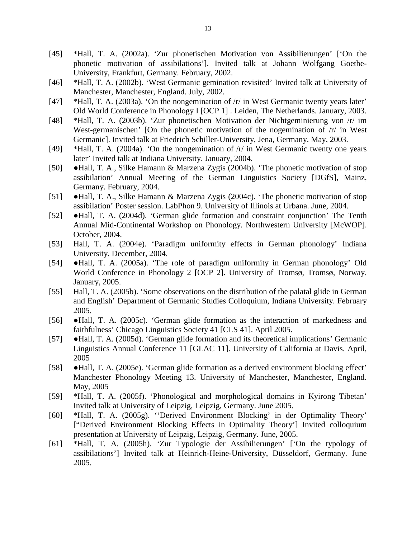- [45] \*Hall, T. A. (2002a). 'Zur phonetischen Motivation von Assibilierungen' ['On the phonetic motivation of assibilations']. Invited talk at Johann Wolfgang Goethe-University, Frankfurt, Germany. February, 2002.
- [46] \*Hall, T. A. (2002b). 'West Germanic gemination revisited' Invited talk at University of Manchester, Manchester, England. July, 2002.
- [47] \*Hall, T. A. (2003a). 'On the nongemination of  $\pi$  in West Germanic twenty years later' Old World Conference in Phonology I [OCP 1] . Leiden, The Netherlands. January, 2003.
- [48] \*Hall, T. A. (2003b). 'Zur phonetischen Motivation der Nichtgeminierung von /r/ im West-germanischen' [On the phonetic motivation of the nogemination of  $/r/$  in West Germanic]. Invited talk at Friedrich Schiller-University, Jena, Germany. May, 2003.
- [49] \*Hall, T. A. (2004a). 'On the nongemination of /r/ in West Germanic twenty one years later' Invited talk at Indiana University. January, 2004.
- [50] ●Hall, T. A., Silke Hamann & Marzena Zygis (2004b). 'The phonetic motivation of stop assibilation' Annual Meeting of the German Linguistics Society [DGfS], Mainz, Germany. February, 2004.
- [51] ●Hall, T. A., Silke Hamann & Marzena Zygis (2004c). 'The phonetic motivation of stop assibilation' Poster session. LabPhon 9. University of Illinois at Urbana. June, 2004.
- [52] ●Hall, T. A. (2004d). 'German glide formation and constraint conjunction' The Tenth Annual Mid-Continental Workshop on Phonology. Northwestern University [McWOP]. October, 2004.
- [53] Hall, T. A. (2004e). 'Paradigm uniformity effects in German phonology' Indiana University. December, 2004.
- [54] ●Hall, T. A. (2005a). 'The role of paradigm uniformity in German phonology' Old World Conference in Phonology 2 [OCP 2]. University of Tromsø, Tromsø, Norway. January, 2005.
- [55] Hall, T. A. (2005b). 'Some observations on the distribution of the palatal glide in German and English' Department of Germanic Studies Colloquium, Indiana University. February 2005.
- [56] ●Hall, T. A. (2005c). 'German glide formation as the interaction of markedness and faithfulness' Chicago Linguistics Society 41 [CLS 41]. April 2005.
- [57] ●Hall, T. A. (2005d). 'German glide formation and its theoretical implications' Germanic Linguistics Annual Conference 11 [GLAC 11]. University of California at Davis. April, 2005
- [58] ●Hall, T. A. (2005e). 'German glide formation as a derived environment blocking effect' Manchester Phonology Meeting 13. University of Manchester, Manchester, England. May, 2005
- [59] \*Hall, T. A. (2005f). 'Phonological and morphological domains in Kyirong Tibetan' Invited talk at University of Leipzig, Leipzig, Germany. June 2005.
- [60] \*Hall, T. A. (2005g). ''Derived Environment Blocking' in der Optimality Theory' ["Derived Environment Blocking Effects in Optimality Theory'] Invited colloquium presentation at University of Leipzig, Leipzig, Germany. June, 2005.
- [61] \*Hall, T. A. (2005h). 'Zur Typologie der Assibilierungen' ['On the typology of assibilations'] Invited talk at Heinrich-Heine-University, Düsseldorf, Germany. June 2005.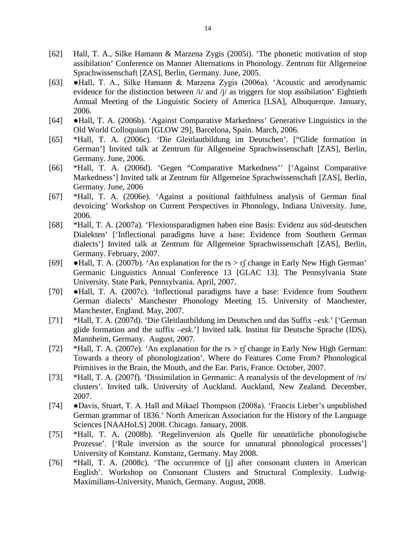- [62] Hall, T. A., Silke Hamann & Marzena Zygis (2005i). 'The phonetic motivation of stop assibilation' Conference on Manner Alternations in Phonology. Zentrum für Allgemeine Sprachwissenschaft [ZAS], Berlin, Germany. June, 2005.
- [63] ●Hall, T. A., Silke Hamann & Marzena Zygis (2006a). 'Acoustic and aerodynamic evidence for the distinction between /i/ and /j/ as triggers for stop assibilation' Eightieth Annual Meeting of the Linguistic Society of America [LSA], Albuquerque. January, 2006.
- [64] ●Hall, T. A. (2006b). 'Against Comparative Markedness' Generative Linguistics in the Old World Colloquium [GLOW 29], Barcelona, Spain. March, 2006.
- [65] \*Hall, T. A. (2006c). 'Die Gleitlautbildung im Deutschen'. ["Glide formation in German'] Invited talk at Zentrum für Allgemeine Sprachwissenschaft [ZAS], Berlin, Germany. June, 2006.
- [66] \*Hall, T. A. (2006d). 'Gegen "Comparative Markedness'' ['Against Comparative Markedness'] Invited talk at Zentrum für Allgemeine Sprachwissenschaft [ZAS], Berlin, Germany. June, 2006
- [67] \*Hall, T. A. (2006e). 'Against a positional faithfulness analysis of German final devoicing' Workshop on Current Perspectives in Phonology, Indiana University. June, 2006.
- [68] \*Hall, T. A. (2007a). 'Flexionsparadigmen haben eine Basis: Evidenz aus süd-deutschen Dialekten' ['Inflectional paradigms have a base: Evidence from Southern German dialects'] Invited talk at Zentrum für Allgemeine Sprachwissenschaft [ZAS], Berlin, Germany. February, 2007.
- [69]  $\bullet$  Hall, T. A. (2007b). 'An explanation for the rs > rf change in Early New High German' Germanic Linguistics Annual Conference 13 [GLAC 13]. The Pennsylvania State University. State Park, Pennsylvania. April, 2007.
- [70] ●Hall, T. A. (2007c). 'Inflectional paradigms have a base: Evidence from Southern German dialects' Manchester Phonology Meeting 15. University of Manchester, Manchester, England. May, 2007.
- [71] \*Hall, T. A. (2007d). 'Die Gleitlautbildung im Deutschen und das Suffix –*esk*.' ['German glide formation and the suffix –*esk*.'] Invited talk. Institut für Deutsche Sprache (IDS), Mannheim, Germany. August, 2007.
- [72] \*Hall, T. A. (2007e). 'An explanation for the  $rs > rf$  change in Early New High German: Towards a theory of phonologization'. Where do Features Come From? Phonological Primitives in the Brain, the Mouth, and the Ear. Paris, France. October, 2007.
- [73] \*Hall, T. A. (2007f). 'Dissimilation in Germanic: A reanalysis of the development of /rs/ clusters'. Invited talk. University of Auckland. Auckland, New Zealand. December, 2007.
- [74] ●Davis, Stuart, T. A. Hall and Mikael Thompson (2008a). 'Francis Lieber's unpublished German grammar of 1836.' North American Association for the History of the Language Sciences [NAAHoLS] 2008. Chicago. January, 2008.
- [75] \*Hall, T. A. (2008b). 'Regelinversion als Quelle für unnatürliche phonologische Prozesse'. ['Rule inversion as the source for unnatural phonological processes'] University of Konstanz. Konstanz, Germany. May 2008.
- [76] \*Hall, T. A. (2008c). 'The occurrence of [j] after consonant clusters in American English'. Workshop on Consonant Clusters and Structural Complexity. Ludwig-Maximilians-University, Munich, Germany. August, 2008.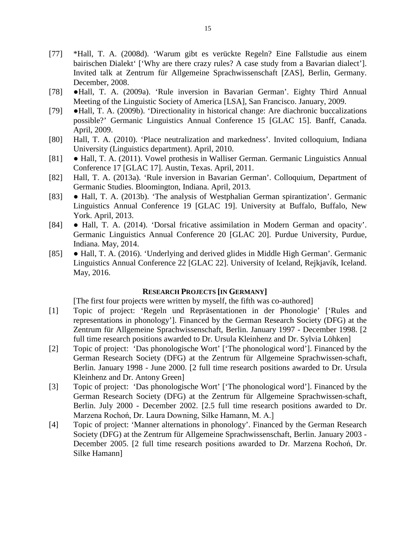- [77] \*Hall, T. A. (2008d). 'Warum gibt es verückte Regeln? Eine Fallstudie aus einem bairischen Dialekt' ['Why are there crazy rules? A case study from a Bavarian dialect']. Invited talk at Zentrum für Allgemeine Sprachwissenschaft [ZAS], Berlin, Germany. December, 2008.
- [78] ●Hall, T. A. (2009a). 'Rule inversion in Bavarian German'. Eighty Third Annual Meeting of the Linguistic Society of America [LSA], San Francisco. January, 2009.
- [79] ●Hall, T. A. (2009b). 'Directionality in historical change: Are diachronic buccalizations possible?' Germanic Linguistics Annual Conference 15 [GLAC 15]. Banff, Canada. April, 2009.
- [80] Hall, T. A. (2010). 'Place neutralization and markedness'. Invited colloquium, Indiana University (Linguistics department). April, 2010.
- [81] Hall, T. A. (2011). Vowel prothesis in Walliser German. Germanic Linguistics Annual Conference 17 [GLAC 17]. Austin, Texas. April, 2011.
- [82] Hall, T. A. (2013a). 'Rule inversion in Bavarian German'. Colloquium, Department of Germanic Studies. Bloomington, Indiana. April, 2013.
- [83] Hall, T. A. (2013b). 'The analysis of Westphalian German spirantization'. Germanic Linguistics Annual Conference 19 [GLAC 19]. University at Buffalo, Buffalo, New York. April, 2013.
- [84] Hall, T. A. (2014). 'Dorsal fricative assimilation in Modern German and opacity'. Germanic Linguistics Annual Conference 20 [GLAC 20]. Purdue University, Purdue, Indiana. May, 2014.
- [85] Hall, T. A. (2016). 'Underlying and derived glides in Middle High German'. Germanic Linguistics Annual Conference 22 [GLAC 22]. University of Iceland, Rejkjavík, Iceland. May, 2016.

# **RESEARCH PROJECTS [IN GERMANY]**

[The first four projects were written by myself, the fifth was co-authored]

- [1] Topic of project: 'Regeln und Repräsentationen in der Phonologie' ['Rules and representations in phonology']. Financed by the German Research Society (DFG) at the Zentrum für Allgemeine Sprachwissenschaft, Berlin. January 1997 - December 1998. [2 full time research positions awarded to Dr. Ursula Kleinhenz and Dr. Sylvia Löhken]
- [2] Topic of project: 'Das phonologische Wort' ['The phonological word']. Financed by the German Research Society (DFG) at the Zentrum für Allgemeine Sprachwissen-schaft, Berlin. January 1998 - June 2000. [2 full time research positions awarded to Dr. Ursula Kleinhenz and Dr. Antony Green]
- [3] Topic of project: 'Das phonologische Wort' ['The phonological word']. Financed by the German Research Society (DFG) at the Zentrum für Allgemeine Sprachwissen-schaft, Berlin. July 2000 - December 2002. [2.5 full time research positions awarded to Dr. Marzena Rochoń, Dr. Laura Downing, Silke Hamann, M. A.]
- [4] Topic of project: 'Manner alternations in phonology'. Financed by the German Research Society (DFG) at the Zentrum für Allgemeine Sprachwissenschaft, Berlin. January 2003 - December 2005. [2 full time research positions awarded to Dr. Marzena Rochoń, Dr. Silke Hamann]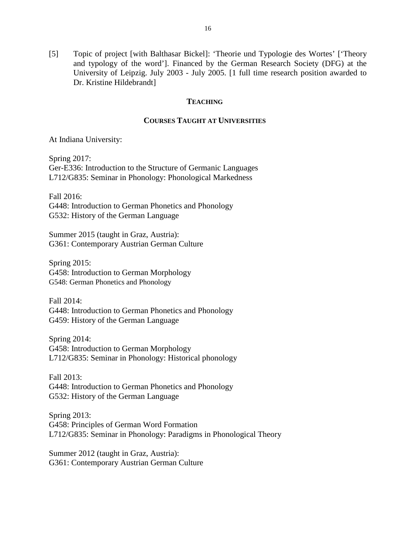[5] Topic of project [with Balthasar Bickel]: 'Theorie und Typologie des Wortes' ['Theory and typology of the word']. Financed by the German Research Society (DFG) at the University of Leipzig. July 2003 - July 2005. [1 full time research position awarded to Dr. Kristine Hildebrandt]

## **TEACHING**

## **COURSES TAUGHT AT UNIVERSITIES**

At Indiana University:

Spring 2017: Ger-E336: Introduction to the Structure of Germanic Languages L712/G835: Seminar in Phonology: Phonological Markedness

Fall 2016: G448: Introduction to German Phonetics and Phonology G532: History of the German Language

Summer 2015 (taught in Graz, Austria): G361: Contemporary Austrian German Culture

Spring 2015: G458: Introduction to German Morphology G548: German Phonetics and Phonology

Fall 2014: G448: Introduction to German Phonetics and Phonology G459: History of the German Language

Spring 2014: G458: Introduction to German Morphology L712/G835: Seminar in Phonology: Historical phonology

Fall 2013: G448: Introduction to German Phonetics and Phonology G532: History of the German Language

Spring 2013: G458: Principles of German Word Formation L712/G835: Seminar in Phonology: Paradigms in Phonological Theory

Summer 2012 (taught in Graz, Austria): G361: Contemporary Austrian German Culture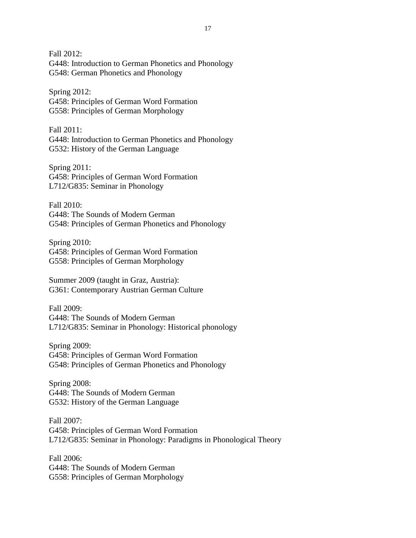Fall 2012: G448: Introduction to German Phonetics and Phonology G548: German Phonetics and Phonology

Spring 2012: G458: Principles of German Word Formation G558: Principles of German Morphology

Fall 2011: G448: Introduction to German Phonetics and Phonology G532: History of the German Language

Spring 2011: G458: Principles of German Word Formation L712/G835: Seminar in Phonology

Fall 2010: G448: The Sounds of Modern German G548: Principles of German Phonetics and Phonology

Spring 2010: G458: Principles of German Word Formation G558: Principles of German Morphology

Summer 2009 (taught in Graz, Austria): G361: Contemporary Austrian German Culture

Fall 2009: G448: The Sounds of Modern German L712/G835: Seminar in Phonology: Historical phonology

Spring 2009: G458: Principles of German Word Formation G548: Principles of German Phonetics and Phonology

Spring 2008: G448: The Sounds of Modern German G532: History of the German Language

Fall 2007: G458: Principles of German Word Formation L712/G835: Seminar in Phonology: Paradigms in Phonological Theory

Fall 2006: G448: The Sounds of Modern German G558: Principles of German Morphology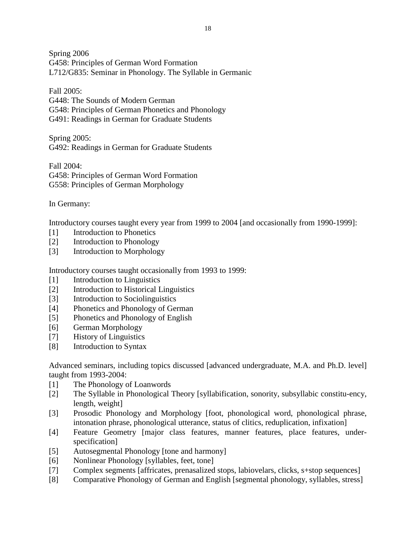Spring 2006 G458: Principles of German Word Formation L712/G835: Seminar in Phonology. The Syllable in Germanic

Fall 2005:

G448: The Sounds of Modern German

G548: Principles of German Phonetics and Phonology

G491: Readings in German for Graduate Students

Spring 2005: G492: Readings in German for Graduate Students

Fall 2004: G458: Principles of German Word Formation G558: Principles of German Morphology

In Germany:

Introductory courses taught every year from 1999 to 2004 [and occasionally from 1990-1999]:

- [1] Introduction to Phonetics
- [2] Introduction to Phonology
- [3] Introduction to Morphology

Introductory courses taught occasionally from 1993 to 1999:

- [1] Introduction to Linguistics
- [2] Introduction to Historical Linguistics
- [3] Introduction to Sociolinguistics
- [4] Phonetics and Phonology of German
- [5] Phonetics and Phonology of English
- [6] German Morphology
- [7] History of Linguistics
- [8] Introduction to Syntax

Advanced seminars, including topics discussed [advanced undergraduate, M.A. and Ph.D. level] taught from 1993-2004:

- [1] The Phonology of Loanwords
- [2] The Syllable in Phonological Theory [syllabification, sonority, subsyllabic constitu-ency, length, weight]
- [3] Prosodic Phonology and Morphology [foot, phonological word, phonological phrase, intonation phrase, phonological utterance, status of clitics, reduplication, infixation]
- [4] Feature Geometry [major class features, manner features, place features, underspecification]
- [5] Autosegmental Phonology [tone and harmony]
- [6] Nonlinear Phonology [syllables, feet, tone]
- [7] Complex segments [affricates, prenasalized stops, labiovelars, clicks, s+stop sequences]
- [8] Comparative Phonology of German and English [segmental phonology, syllables, stress]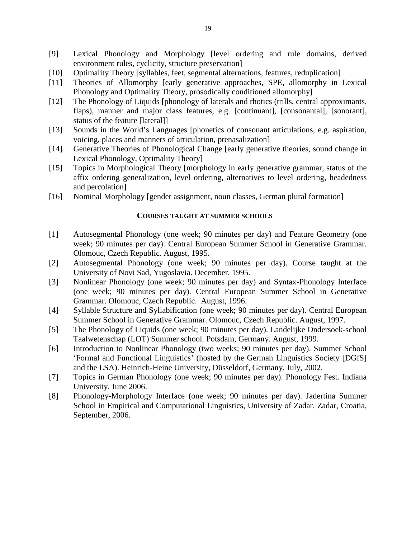- [9] Lexical Phonology and Morphology [level ordering and rule domains, derived environment rules, cyclicity, structure preservation]
- [10] Optimality Theory [syllables, feet, segmental alternations, features, reduplication]
- [11] Theories of Allomorphy [early generative approaches, SPE, allomorphy in Lexical Phonology and Optimality Theory, prosodically conditioned allomorphy]
- [12] The Phonology of Liquids [phonology of laterals and rhotics (trills, central approximants, flaps), manner and major class features, e.g. [continuant], [consonantal], [sonorant], status of the feature [lateral]]
- [13] Sounds in the World's Languages [phonetics of consonant articulations, e.g. aspiration, voicing, places and manners of articulation, prenasalization]
- [14] Generative Theories of Phonological Change [early generative theories, sound change in Lexical Phonology, Optimality Theory]
- [15] Topics in Morphological Theory [morphology in early generative grammar, status of the affix ordering generalization, level ordering, alternatives to level ordering, headedness and percolation]
- [16] Nominal Morphology [gender assignment, noun classes, German plural formation]

# **COURSES TAUGHT AT SUMMER SCHOOLS**

- [1] Autosegmental Phonology (one week; 90 minutes per day) and Feature Geometry (one week; 90 minutes per day). Central European Summer School in Generative Grammar. Olomouc, Czech Republic. August, 1995.
- [2] Autosegmental Phonology (one week; 90 minutes per day). Course taught at the University of Novi Sad, Yugoslavia. December, 1995.
- [3] Nonlinear Phonology (one week; 90 minutes per day) and Syntax-Phonology Interface (one week; 90 minutes per day). Central European Summer School in Generative Grammar. Olomouc, Czech Republic. August, 1996.
- [4] Syllable Structure and Syllabification (one week; 90 minutes per day). Central European Summer School in Generative Grammar. Olomouc, Czech Republic. August, 1997.
- [5] The Phonology of Liquids (one week; 90 minutes per day). Landelijke Ondersoek-school Taalwetenschap (LOT) Summer school. Potsdam, Germany. August, 1999.
- [6] Introduction to Nonlinear Phonology (two weeks; 90 minutes per day). Summer School 'Formal and Functional Linguistics' (hosted by the German Linguistics Society [DGfS] and the LSA). Heinrich-Heine University, Düsseldorf, Germany. July, 2002.
- [7] Topics in German Phonology (one week; 90 minutes per day). Phonology Fest. Indiana University. June 2006.
- [8] Phonology-Morphology Interface (one week; 90 minutes per day). Jadertina Summer School in Empirical and Computational Linguistics, University of Zadar. Zadar, Croatia, September, 2006.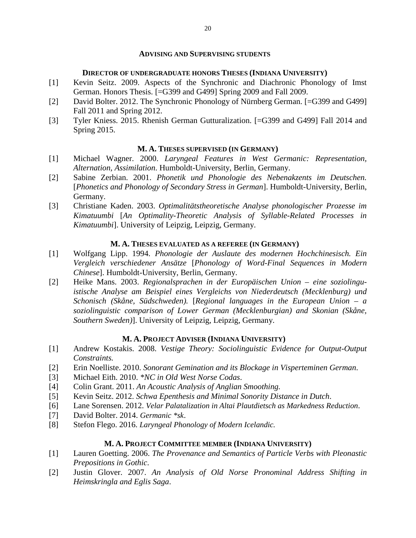#### **ADVISING AND SUPERVISING STUDENTS**

## **DIRECTOR OF UNDERGRADUATE HONORS THESES (INDIANA UNIVERSITY)**

- [1] Kevin Seitz. 2009. Aspects of the Synchronic and Diachronic Phonology of Imst German. Honors Thesis. [=G399 and G499] Spring 2009 and Fall 2009.
- [2] David Bolter. 2012. The Synchronic Phonology of Nürnberg German. [=G399 and G499] Fall 2011 and Spring 2012.
- [3] Tyler Kniess. 2015. Rhenish German Gutturalization. [=G399 and G499] Fall 2014 and Spring 2015.

## **M. A. THESES SUPERVISED (IN GERMANY)**

- [1] Michael Wagner. 2000. *Laryngeal Features in West Germanic: Representation, Alternation, Assimilation*. Humboldt-University, Berlin, Germany.
- [2] Sabine Zerbian. 2001. *Phonetik und Phonologie des Nebenakzents im Deutschen.* [*Phonetics and Phonology of Secondary Stress in German*]. Humboldt-University, Berlin, Germany.
- [3] Christiane Kaden. 2003. *Optimalitätstheoretische Analyse phonologischer Prozesse im Kimatuumbi* [*An Optimality-Theoretic Analysis of Syllable-Related Processes in Kimatuumbi*]. University of Leipzig, Leipzig, Germany.

## **M. A. THESES EVALUATED AS A REFEREE (IN GERMANY)**

- [1] Wolfgang Lipp. 1994. *Phonologie der Auslaute des modernen Hochchinesisch. Ein Vergleich verschiedener Ansätze* [*Phonology of Word-Final Sequences in Modern Chinese*]. Humboldt-University, Berlin, Germany.
- [2] Heike Mans. 2003. *Regionalsprachen in der Europäischen Union – eine soziolinguistische Analyse am Beispiel eines Vergleichs von Niederdeutsch (Mecklenburg) und Schonisch (Skåne, Südschweden).* [*Regional languages in the European Union – a soziolinguistic comparison of Lower German (Mecklenburgian) and Skonian (Skåne, Southern Sweden)*]. University of Leipzig, Leipzig, Germany.

#### **M. A. PROJECT ADVISER (INDIANA UNIVERSITY)**

- [1] Andrew Kostakis. 2008. *Vestige Theory: Sociolinguistic Evidence for Output-Output Constraints.*
- [2] Erin Noelliste. 2010. *Sonorant Gemination and its Blockage in Visperteminen German*.
- [3] Michael Eith. 2010. *\*NC in Old West Norse Codas*.
- [4] Colin Grant. 2011. *An Acoustic Analysis of Anglian Smoothing.*
- [5] Kevin Seitz. 2012. *Schwa Epenthesis and Minimal Sonority Distance in Dutch*.
- [6] Lane Sorensen. 2012. *Velar Palatalization in Altai Plautdietsch as Markedness Reduction*.
- [7] David Bolter. 2014. *Germanic \*sk*.
- [8] Stefon Flego. 2016. *Laryngeal Phonology of Modern Icelandic.*

## **M. A. PROJECT COMMITTEE MEMBER (INDIANA UNIVERSITY)**

- [1] Lauren Goetting. 2006. *The Provenance and Semantics of Particle Verbs with Pleonastic Prepositions in Gothic*.
- [2] Justin Glover. 2007. *An Analysis of Old Norse Pronominal Address Shifting in Heimskringla and Eglis Saga*.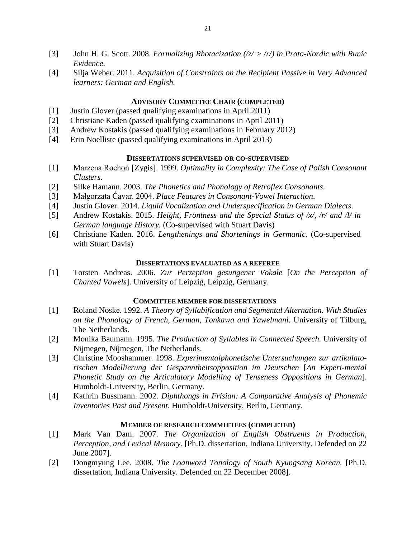- [3] John H. G. Scott. 2008. *Formalizing Rhotacization (/z/ > /r/) in Proto-Nordic with Runic Evidence*.
- [4] Silja Weber. 2011. *Acquisition of Constraints on the Recipient Passive in Very Advanced learners: German and English.*

# **ADVISORY COMMITTEE CHAIR (COMPLETED)**

- [1] Justin Glover (passed qualifying examinations in April 2011)
- [2] Christiane Kaden (passed qualifying examinations in April 2011)
- [3] Andrew Kostakis (passed qualifying examinations in February 2012)
- [4] Erin Noelliste (passed qualifying examinations in April 2013)

# **DISSERTATIONS SUPERVISED OR CO-SUPERVISED**

- [1] Marzena Rochoń [Zygis]. 1999. *Optimality in Complexity: The Case of Polish Consonant Clusters*.
- [2] Silke Hamann. 2003. *The Phonetics and Phonology of Retroflex Consonants*.
- [3] Małgorzata Ćavar. 2004. *Place Features in Consonant-Vowel Interaction*.
- [4] Justin Glover. 2014. *Liquid Vocalization and Underspecification in German Dialects*.
- [5] Andrew Kostakis. 2015. *Height, Frontness and the Special Status of /x/, /r/ and /l/ in German language History.* (Co-supervised with Stuart Davis)
- [6] Christiane Kaden. 2016. *Lengthenings and Shortenings in Germanic.* (Co-supervised with Stuart Davis)

## **DISSERTATIONS EVALUATED AS A REFEREE**

[1] Torsten Andreas. 2006. *Zur Perzeption gesungener Vokale* [*On the Perception of Chanted Vowels*]. University of Leipzig, Leipzig, Germany.

## **COMMITTEE MEMBER FOR DISSERTATIONS**

- [1] Roland Noske. 1992. *A Theory of Syllabification and Segmental Alternation. With Studies on the Phonology of French, German, Tonkawa and Yawelmani*. University of Tilburg, The Netherlands.
- [2] Monika Baumann. 1995. *The Production of Syllables in Connected Speech.* University of Nijmegen, Nijmegen, The Netherlands.
- [3] Christine Mooshammer. 1998. *Experimentalphonetische Untersuchungen zur artikulatorischen Modellierung der Gespanntheitsopposition im Deutschen* [*An Experi-mental Phonetic Study on the Articulatory Modelling of Tenseness Oppositions in German*]. Humboldt-University, Berlin, Germany.
- [4] Kathrin Bussmann. 2002. *Diphthongs in Frisian: A Comparative Analysis of Phonemic Inventories Past and Present*. Humboldt-University, Berlin, Germany.

## **MEMBER OF RESEARCH COMMITTEES (COMPLETED)**

- [1] Mark Van Dam. 2007. *The Organization of English Obstruents in Production, Perception, and Lexical Memory.* [Ph.D. dissertation, Indiana University. Defended on 22 June 2007].
- [2] Dongmyung Lee. 2008. *The Loanword Tonology of South Kyungsang Korean.* [Ph.D. dissertation, Indiana University. Defended on 22 December 2008].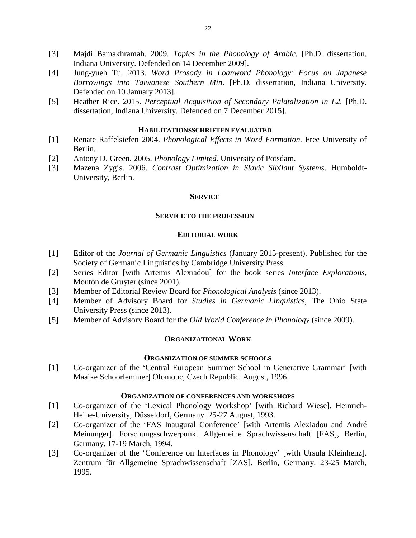- [3] Majdi Bamakhramah. 2009. *Topics in the Phonology of Arabic.* [Ph.D. dissertation, Indiana University. Defended on 14 December 2009].
- [4] Jung-yueh Tu. 2013. *Word Prosody in Loanword Phonology: Focus on Japanese Borrowings into Taiwanese Southern Min*. [Ph.D. dissertation, Indiana University. Defended on 10 January 2013].
- [5] Heather Rice. 2015. *Perceptual Acquisition of Secondary Palatalization in L2.* [Ph.D. dissertation, Indiana University. Defended on 7 December 2015].

## **HABILITATIONSSCHRIFTEN EVALUATED**

- [1] Renate Raffelsiefen 2004. *Phonological Effects in Word Formation.* Free University of Berlin.
- [2] Antony D. Green. 2005. *Phonology Limited.* University of Potsdam.
- [3] Mazena Zygis. 2006. *Contrast Optimization in Slavic Sibilant Systems*. Humboldt-University, Berlin.

#### **SERVICE**

#### **SERVICE TO THE PROFESSION**

#### **EDITORIAL WORK**

- [1] Editor of the *Journal of Germanic Linguistics* (January 2015-present). Published for the Society of Germanic Linguistics by Cambridge University Press.
- [2] Series Editor [with Artemis Alexiadou] for the book series *Interface Explorations,*  Mouton de Gruyter (since 2001).
- [3] Member of Editorial Review Board for *Phonological Analysis* (since 2013).
- [4] Member of Advisory Board for *Studies in Germanic Linguistics*, The Ohio State University Press (since 2013).
- [5] Member of Advisory Board for the *Old World Conference in Phonology* (since 2009).

#### **ORGANIZATIONAL WORK**

## **ORGANIZATION OF SUMMER SCHOOLS**

[1] Co-organizer of the 'Central European Summer School in Generative Grammar' [with Maaike Schoorlemmer] Olomouc, Czech Republic. August, 1996.

### **ORGANIZATION OF CONFERENCES AND WORKSHOPS**

- [1] Co-organizer of the 'Lexical Phonology Workshop' [with Richard Wiese]. Heinrich-Heine-University, Düsseldorf, Germany. 25-27 August, 1993.
- [2] Co-organizer of the 'FAS Inaugural Conference' [with Artemis Alexiadou and André Meinunger]. Forschungsschwerpunkt Allgemeine Sprachwissenschaft [FAS], Berlin, Germany. 17-19 March, 1994.
- [3] Co-organizer of the 'Conference on Interfaces in Phonology' [with Ursula Kleinhenz]. Zentrum für Allgemeine Sprachwissenschaft [ZAS], Berlin, Germany. 23-25 March, 1995.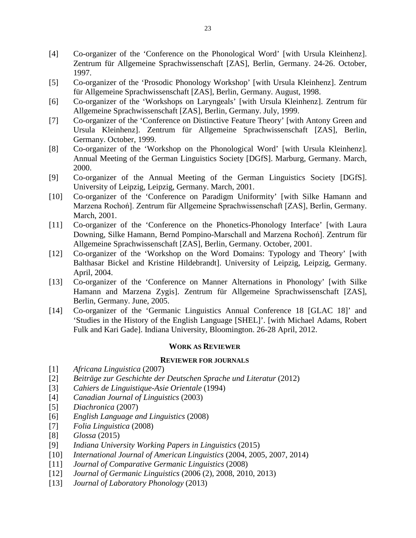- [4] Co-organizer of the 'Conference on the Phonological Word' [with Ursula Kleinhenz]. Zentrum für Allgemeine Sprachwissenschaft [ZAS], Berlin, Germany. 24-26. October, 1997.
- [5] Co-organizer of the 'Prosodic Phonology Workshop' [with Ursula Kleinhenz]. Zentrum für Allgemeine Sprachwissenschaft [ZAS], Berlin, Germany. August, 1998.
- [6] Co-organizer of the 'Workshops on Laryngeals' [with Ursula Kleinhenz]. Zentrum für Allgemeine Sprachwissenschaft [ZAS], Berlin, Germany. July, 1999.
- [7] Co-organizer of the 'Conference on Distinctive Feature Theory' [with Antony Green and Ursula Kleinhenz]. Zentrum für Allgemeine Sprachwissenschaft [ZAS], Berlin, Germany. October, 1999.
- [8] Co-organizer of the 'Workshop on the Phonological Word' [with Ursula Kleinhenz]. Annual Meeting of the German Linguistics Society [DGfS]. Marburg, Germany. March, 2000.
- [9] Co-organizer of the Annual Meeting of the German Linguistics Society [DGfS]. University of Leipzig, Leipzig, Germany. March, 2001.
- [10] Co-organizer of the 'Conference on Paradigm Uniformity' [with Silke Hamann and Marzena Rochoń]. Zentrum für Allgemeine Sprachwissenschaft [ZAS], Berlin, Germany. March, 2001.
- [11] Co-organizer of the 'Conference on the Phonetics-Phonology Interface' [with Laura Downing, Silke Hamann, Bernd Pompino-Marschall and Marzena Rochoń]. Zentrum für Allgemeine Sprachwissenschaft [ZAS], Berlin, Germany. October, 2001.
- [12] Co-organizer of the 'Workshop on the Word Domains: Typology and Theory' [with Balthasar Bickel and Kristine Hildebrandt]. University of Leipzig, Leipzig, Germany. April, 2004.
- [13] Co-organizer of the 'Conference on Manner Alternations in Phonology' [with Silke Hamann and Marzena Zygis]. Zentrum für Allgemeine Sprachwissenschaft [ZAS], Berlin, Germany. June, 2005.
- [14] Co-organizer of the 'Germanic Linguistics Annual Conference 18 [GLAC 18]' and 'Studies in the History of the English Language [SHEL]'. [with Michael Adams, Robert Fulk and Kari Gade]. Indiana University, Bloomington. 26-28 April, 2012.

## **WORK AS REVIEWER**

#### **REVIEWER FOR JOURNALS**

- [1] *Africana Linguistica* (2007)
- [2] *Beiträge zur Geschichte der Deutschen Sprache und Literatur* (2012)
- [3] *Cahiers de Linguistique-Asie Orientale* (1994)
- [4] *Canadian Journal of Linguistics* (2003)
- [5] *Diachronica* (2007)
- [6] *English Language and Linguistics* (2008)
- [7] *Folia Linguistica* (2008)
- [8] *Glossa* (2015)
- [9] *Indiana University Working Papers in Linguistics* (2015)
- [10] *International Journal of American Linguistics* (2004, 2005, 2007, 2014)
- [11] *Journal of Comparative Germanic Linguistics* (2008)
- [12] *Journal of Germanic Linguistics* (2006 (2), 2008, 2010, 2013)
- [13] *Journal of Laboratory Phonology* (2013)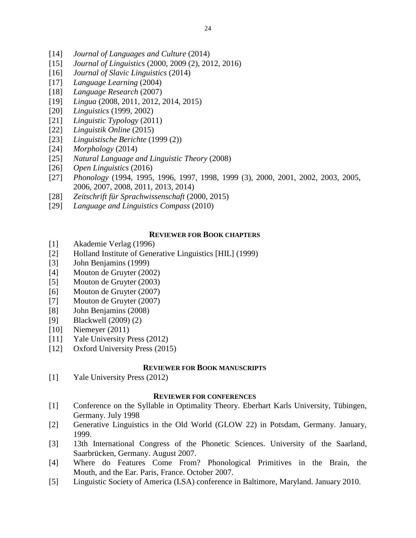- [14] *Journal of Languages and Culture* (2014)
- [15] *Journal of Linguistics* (2000, 2009 (2), 2012, 2016)
- [16] *Journal of Slavic Linguistics* (2014)
- [17] *Language Learning* (2004)
- [18] *Language Research* (2007)
- [19] *Lingua* (2008, 2011, 2012, 2014, 2015)
- [20] *Linguistics* (1999, 2002)
- [21] *Linguistic Typology* (2011)
- [22] *Linguistik Online* (2015)
- [23] *Linguistische Berichte* (1999 (2))
- [24] *Morphology* (2014)
- [25] *Natural Language and Linguistic Theory* (2008)
- [26] *Open Linguistics* (2016)
- [27] *Phonology* (1994, 1995, 1996, 1997, 1998, 1999 (3), 2000, 2001, 2002, 2003, 2005, 2006, 2007, 2008, 2011, 2013, 2014)
- [28] *Zeitschrift für Sprachwissenschaft* (2000, 2015)
- [29] *Language and Linguistics Compass* (2010)

# **REVIEWER FOR BOOK CHAPTERS**

- [1] Akademie Verlag (1996)
- [2] Holland Institute of Generative Linguistics [HIL] (1999)
- [3] John Benjamins (1999)
- [4] Mouton de Gruyter (2002)
- [5] Mouton de Gruyter (2003)
- [6] Mouton de Gruyter (2007)
- [7] Mouton de Gruyter (2007)
- [8] John Benjamins (2008)
- [9] Blackwell (2009) (2)
- [10] Niemeyer (2011)
- [11] Yale University Press (2012)
- [12] Oxford University Press (2015)

# **REVIEWER FOR BOOK MANUSCRIPTS**

[1] Yale University Press (2012)

# **REVIEWER FOR CONFERENCES**

- [1] Conference on the Syllable in Optimality Theory. Eberhart Karls University, Tübingen, Germany. July 1998
- [2] Generative Linguistics in the Old World (GLOW 22) in Potsdam, Germany. January, 1999.
- [3] 13th International Congress of the Phonetic Sciences. University of the Saarland, Saarbrücken, Germany. August 2007.
- [4] Where do Features Come From? Phonological Primitives in the Brain, the Mouth, and the Ear. Paris, France. October 2007.
- [5] Linguistic Society of America (LSA) conference in Baltimore, Maryland. January 2010.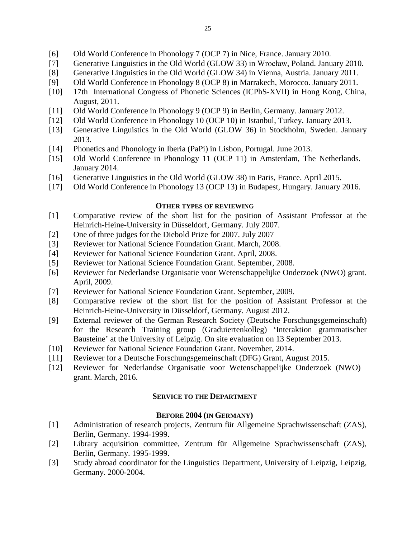- [6] Old World Conference in Phonology 7 (OCP 7) in Nice, France. January 2010.
- [7] Generative Linguistics in the Old World (GLOW 33) in Wrocław, Poland. January 2010.
- [8] Generative Linguistics in the Old World (GLOW 34) in Vienna, Austria. January 2011.
- [9] Old World Conference in Phonology 8 (OCP 8) in Marrakech, Morocco. January 2011.
- [10] 17th International Congress of Phonetic Sciences (ICPhS-XVII) in Hong Kong, China, August, 2011.
- [11] Old World Conference in Phonology 9 (OCP 9) in Berlin, Germany. January 2012.
- [12] Old World Conference in Phonology 10 (OCP 10) in Istanbul, Turkey. January 2013.
- [13] Generative Linguistics in the Old World (GLOW 36) in Stockholm, Sweden. January 2013.
- [14] Phonetics and Phonology in Iberia (PaPi) in Lisbon, Portugal. June 2013.
- [15] Old World Conference in Phonology 11 (OCP 11) in Amsterdam, The Netherlands. January 2014.
- [16] Generative Linguistics in the Old World (GLOW 38) in Paris, France. April 2015.
- [17] Old World Conference in Phonology 13 (OCP 13) in Budapest, Hungary. January 2016.

# **OTHER TYPES OF REVIEWING**

- [1] Comparative review of the short list for the position of Assistant Professor at the Heinrich-Heine-University in Düsseldorf, Germany. July 2007.
- [2] One of three judges for the Diebold Prize for 2007. July 2007
- [3] Reviewer for National Science Foundation Grant. March, 2008.
- [4] Reviewer for National Science Foundation Grant. April, 2008.
- [5] Reviewer for National Science Foundation Grant. September, 2008.
- [6] Reviewer for Nederlandse Organisatie voor Wetenschappelijke Onderzoek (NWO) grant. April, 2009.
- [7] Reviewer for National Science Foundation Grant. September, 2009.
- [8] Comparative review of the short list for the position of Assistant Professor at the Heinrich-Heine-University in Düsseldorf, Germany. August 2012.
- [9] External reviewer of the German Research Society (Deutsche Forschungsgemeinschaft) for the Research Training group (Graduiertenkolleg) 'Interaktion grammatischer Bausteine' at the University of Leipzig. On site evaluation on 13 September 2013.
- [10] Reviewer for National Science Foundation Grant. November, 2014.
- [11] Reviewer for a Deutsche Forschungsgemeinschaft (DFG) Grant, August 2015.
- [12] Reviewer for Nederlandse Organisatie voor Wetenschappelijke Onderzoek (NWO) grant. March, 2016.

# **SERVICE TO THE DEPARTMENT**

# **BEFORE 2004 (IN GERMANY)**

- [1] Administration of research projects, Zentrum für Allgemeine Sprachwissenschaft (ZAS), Berlin, Germany. 1994-1999.
- [2] Library acquisition committee, Zentrum für Allgemeine Sprachwissenschaft (ZAS), Berlin, Germany. 1995-1999.
- [3] Study abroad coordinator for the Linguistics Department, University of Leipzig, Leipzig, Germany. 2000-2004.